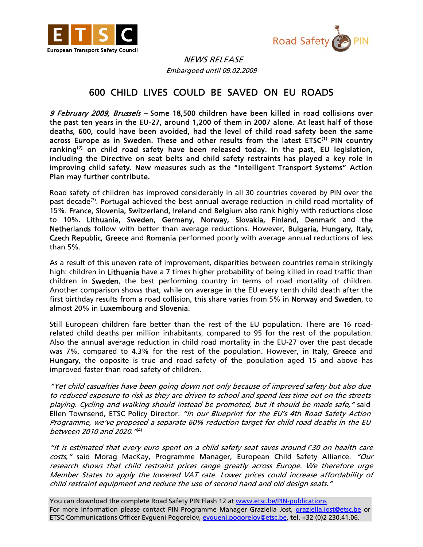



 NEWS RELEASE Embargoed until 09.02.2009

## 600 CHILD LIVES COULD BE SAVED ON EU ROADS

9 February 2009, Brussels - Some 18,500 children have been killed in road collisions over the past ten years in the EU-27, around 1,200 of them in 2007 alone. At least half of those deaths, 600, could have been avoided, had the level of child road safety been the same across Europe as in Sweden. These and other results from the latest ETSC<sup>(1)</sup> PIN country ranking<sup>(2)</sup> on child road safety have been released today. In the past, EU legislation, including the Directive on seat belts and child safety restraints has played a key role in improving child safety. New measures such as the "Intelligent Transport Systems" Action Plan may further contribute.

Road safety of children has improved considerably in all 30 countries covered by PIN over the past decade<sup>(3)</sup>. Portugal achieved the best annual average reduction in child road mortality of 15%. France, Slovenia, Switzerland, Ireland and Belgium also rank highly with reductions close to 10%. Lithuania, Sweden, Germany, Norway, Slovakia, Finland, Denmark and the Netherlands follow with better than average reductions. However, Bulgaria, Hungary, Italy, Czech Republic, Greece and Romania performed poorly with average annual reductions of less than 5%.

As a result of this uneven rate of improvement, disparities between countries remain strikingly high: children in Lithuania have a 7 times higher probability of being killed in road traffic than children in Sweden, the best performing country in terms of road mortality of children. Another comparison shows that, while on average in the EU every tenth child death after the first birthday results from a road collision, this share varies from 5% in Norway and Sweden, to almost 20% in Luxembourg and Slovenia.

Still European children fare better than the rest of the EU population. There are 16 roadrelated child deaths per million inhabitants, compared to 95 for the rest of the population. Also the annual average reduction in child road mortality in the EU-27 over the past decade was 7%, compared to 4.3% for the rest of the population. However, in Italy, Greece and Hungary, the opposite is true and road safety of the population aged 15 and above has improved faster than road safety of children.

"Yet child casualties have been going down not only because of improved safety but also due to reduced exposure to risk as they are driven to school and spend less time out on the streets playing. Cycling and walking should instead be promoted, but it should be made safe," said Ellen Townsend, ETSC Policy Director. "In our Blueprint for the EU's 4th Road Safety Action Programme, we've proposed a separate 60% reduction target for child road deaths in the EU between 2010 and 2020."(4)

"It is estimated that every euro spent on a child safety seat saves around *€*30 on health care costs," said Morag MacKay, Programme Manager, European Child Safety Alliance. "Our research shows that child restraint prices range greatly across Europe. We therefore urge Member States to apply the lowered VAT rate. Lower prices could increase affordability of child restraint equipment and reduce the use of second hand and old design seats."

You can download the complete Road Safety PIN Flash 12 at www.etsc.be/PIN-publications For more information please contact PIN Programme Manager Graziella Jost, *graziella.jost@etsc.be* or ETSC Communications Officer Evgueni Pogorelov, evgueni.pogorelov@etsc.be, tel. +32 (0)2 230.41.06.